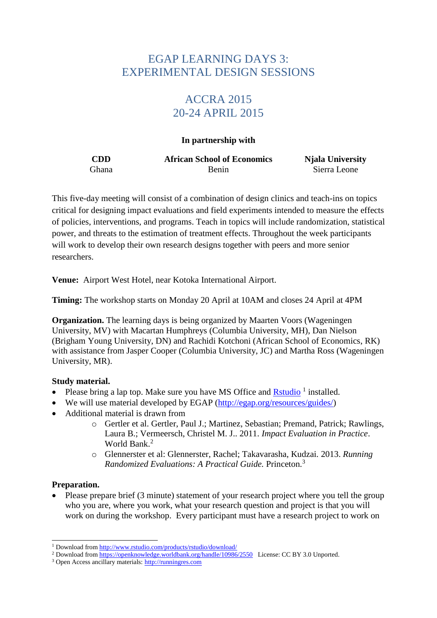# EGAP LEARNING DAYS 3: EXPERIMENTAL DESIGN SESSIONS

# ACCRA 2015 20-24 APRIL 2015

#### **In partnership with**

**CDD African School of Economics Njala University** Ghana Benin Sierra Leone

This five-day meeting will consist of a combination of design clinics and teach-ins on topics critical for designing impact evaluations and field experiments intended to measure the effects of policies, interventions, and programs. Teach in topics will include randomization, statistical power, and threats to the estimation of treatment effects. Throughout the week participants will work to develop their own research designs together with peers and more senior researchers.

**Venue:** Airport West Hotel, near Kotoka International Airport.

**Timing:** The workshop starts on Monday 20 April at 10AM and closes 24 April at 4PM

**Organization.** The learning days is being organized by Maarten Voors (Wageningen) University, MV) with Macartan Humphreys (Columbia University, MH), Dan Nielson (Brigham Young University, DN) and Rachidi Kotchoni (African School of Economics, RK) with assistance from Jasper Cooper (Columbia University, JC) and Martha Ross (Wageningen University, MR).

### **Study material.**

- Please bring a lap top. Make sure you have MS Office and  $Rstudio<sup>1</sup>$  installed.
- We will use material developed by EGAP [\(http://egap.org/resources/guides/\)](http://egap.org/resources/guides/)
- Additional material is drawn from
	- o Gertler et al. Gertler, Paul J.; Martinez, Sebastian; Premand, Patrick; Rawlings, Laura B.; Vermeersch, Christel M. J.. 2011. *Impact Evaluation in Practice*. World Bank<sup>2</sup>
	- o Glennerster et al: Glennerster, Rachel; Takavarasha, Kudzai. 2013. *Running Randomized Evaluations: A Practical Guide.* Princeton.<sup>3</sup>

### **Preparation.**

 Please prepare brief (3 minute) statement of your research project where you tell the group who you are, where you work, what your research question and project is that you will work on during the workshop. Every participant must have a research project to work on

<sup>-</sup><sup>1</sup> Download fro[m http://www.rstudio.com/products/rstudio/download/](http://www.rstudio.com/products/rstudio/download/)

<sup>&</sup>lt;sup>2</sup> Download fro[m https://openknowledge.worldbank.org/handle/10986/2550](https://openknowledge.worldbank.org/handle/10986/2550) License: CC BY 3.0 Unported.

<sup>3</sup> Open Access ancillary materials: [http://runningres.com](http://runningres.com/)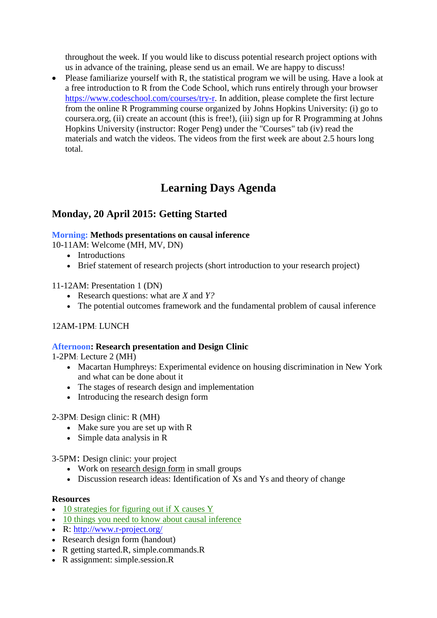throughout the week. If you would like to discuss potential research project options with us in advance of the training, please send us an email. We are happy to discuss!

 Please familiarize yourself with R, the statistical program we will be using. Have a look at a free introduction to R from the Code School, which runs entirely through your browser [https://www.codeschool.com/courses/try-r.](https://www.codeschool.com/courses/try-r) In addition, please complete the first lecture from the online R Programming course organized by Johns Hopkins University: (i) go to coursera.org, (ii) create an account (this is free!), (iii) sign up for R Programming at Johns Hopkins University (instructor: Roger Peng) under the "Courses" tab (iv) read the materials and watch the videos. The videos from the first week are about 2.5 hours long total.

# **Learning Days Agenda**

# **Monday, 20 April 2015: Getting Started**

### **Morning: Methods presentations on causal inference**

10-11AM: Welcome (MH, MV, DN)

- Introductions
- Brief statement of research projects (short introduction to your research project)

#### 11-12AM: Presentation 1 (DN)

- Research questions: what are *X* and *Y?*
- The potential outcomes framework and the fundamental problem of causal inference

### 12AM-1PM: LUNCH

#### **Afternoon: Research presentation and Design Clinic**

1-2PM: Lecture 2 (MH)

- [Macartan](http://egap.org/?post_type=member&p=2914) Humphreys: [Experimental evidence on housing discrimination in New York](http://cu-csds.org/projects/housing/)  [and what can be done about it](http://cu-csds.org/projects/housing/)
- The stages of research design and implementation
- Introducing the research design form

#### 2-3PM: Design clinic: R (MH)

- Make sure you are set up with [R](http://www.r-project.org/)
- Simple data analysis in R

3-5PM: Design clinic: your project

- Work on <u>research design form</u> in small groups
- Discussion research ideas: Identification of Xs and Ys and theory of change

#### **Resources**

- [10 strategies for figuring out if X causes Y](http://egap.org/resources/guides/identification/)
- [10 things you need to know about causal inference](http://egap.org/resources/guides/causality/)
- R:<http://www.r-project.org/>
- Research design form (handout)
- R getting started.R, simple.commands.R
- R assignment: simple.session.R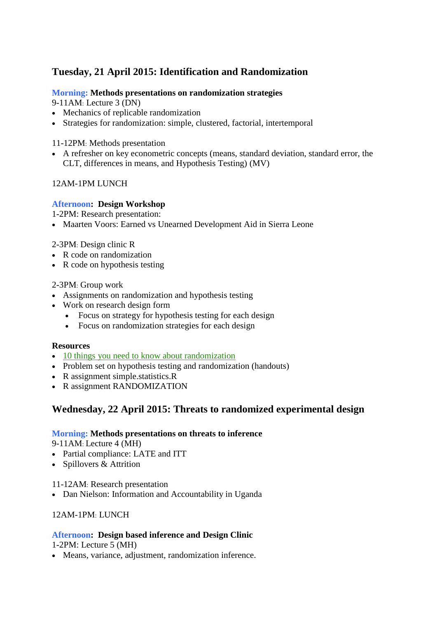# **Tuesday, 21 April 2015: Identification and Randomization**

### **Morning: Methods presentations on randomization strategies**

9-11AM: Lecture 3 (DN)

- Mechanics of replicable randomization
- Strategies for randomization: simple, clustered, factorial, intertemporal

### 11-12PM: Methods presentation

 A refresher on key econometric concepts (means, standard deviation, standard error, the CLT, differences in means, and Hypothesis Testing) (MV)

## 12AM-1PM LUNCH

## **Afternoon: Design Workshop**

1-2PM: Research presentation:

[Maarten](http://egap.org/?post_type=member&p=3627) Voors: Earned vs Unearned Development Aid in Sierra Leone

## 2-3PM: Design clinic R

- R code on randomization
- R code on hypothesis testing

## 2-3PM: Group work

- Assignments on randomization and hypothesis testing
- Work on research design form
	- Focus on strategy for hypothesis testing for each design
	- Focus on randomization strategies for each design

### **Resources**

- [10 things you need to know about randomization](http://egap.org/resources/guides/randomization/)
- Problem set on hypothesis testing and randomization (handouts)
- R assignment simple.statistics.R
- R assignment RANDOMIZATION

# **Wednesday, 22 April 2015: Threats to randomized experimental design**

### **Morning: Methods presentations on threats to inference**

9-11AM: Lecture 4 (MH)

- Partial compliance: LATE and ITT
- Spillovers & Attrition

### 11-12AM: Research presentation

[Dan Nielson:](http://egap.org/?post_type=member&p=3598) Information and Accountability in Uganda

# 12AM-1PM: LUNCH

# **Afternoon: Design based inference and Design Clinic**

1-2PM: Lecture 5 (MH)

Means, variance, adjustment, randomization inference.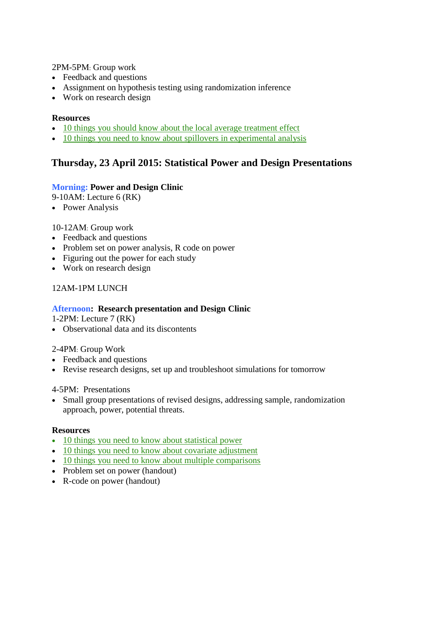2PM-5PM: Group work

- Feedback and questions
- Assignment on hypothesis testing using randomization inference
- Work on research design

#### **Resources**

- [10 things you should know about the local average treatment effect](http://egap.org/resources/guides/local/)
- [10 things you need to know about spillovers in experimental analysis](http://egap.org/resources/guides/randomization/)

# **Thursday, 23 April 2015: Statistical Power and Design Presentations**

#### **Morning: Power and Design Clinic**

9-10AM: Lecture 6 (RK)

• Power Analysis

#### 10-12AM: Group work

- Feedback and questions
- Problem set on power analysis, R code on power
- Figuring out the power for each study
- Work on research design

### 12AM-1PM LUNCH

#### **Afternoon: Research presentation and Design Clinic**

1-2PM: Lecture 7 (RK)

• Observational data and its discontents

#### 2-4PM: Group Work

- Feedback and questions
- Revise research designs, set up and troubleshoot simulations for tomorrow

#### 4-5PM: Presentations

 Small group presentations of revised designs, addressing sample, randomization approach, power, potential threats.

#### **Resources**

- [10 things you need to know about statistical power](http://egap.org/resources/guides/power/)
- [10 things you need to know about covariate adjustment](http://egap.org/10-things-you-need-to-know-about-covariate-adjustment/)
- [10 things you need to know about multiple comparisons](http://egap.org/resources/guides/10-things-you-need-to-know-about-multiple-comparisons/)
- Problem set on power (handout)
- R-code on power (handout)